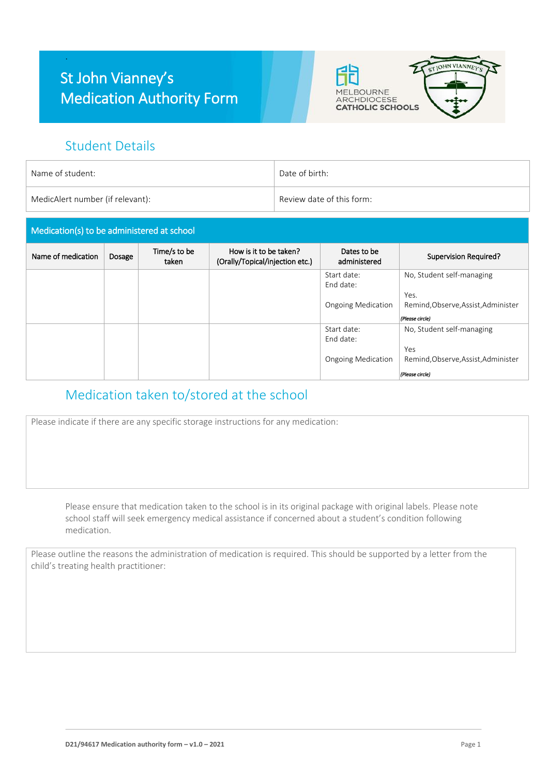## St John Vianney's Medication Authority Form





#### Student Details

.

| Name of student:                 | Date of birth:            |
|----------------------------------|---------------------------|
| MedicAlert number (if relevant): | Review date of this form: |

# Medication(s) to be administered at school

| Name of medication | Dosage | Time/s to be<br>taken | How is it to be taken?<br>(Orally/Topical/injection etc.) | Dates to be<br>administered | Supervision Required?               |
|--------------------|--------|-----------------------|-----------------------------------------------------------|-----------------------------|-------------------------------------|
|                    |        |                       |                                                           | Start date:<br>End date:    | No, Student self-managing           |
|                    |        |                       |                                                           |                             | Yes.                                |
|                    |        |                       |                                                           | <b>Ongoing Medication</b>   | Remind, Observe, Assist, Administer |
|                    |        |                       |                                                           |                             | (Please circle)                     |
|                    |        |                       |                                                           | Start date:                 | No, Student self-managing           |
|                    |        |                       |                                                           | End date:                   |                                     |
|                    |        |                       |                                                           |                             | Yes                                 |
|                    |        |                       |                                                           | <b>Ongoing Medication</b>   | Remind, Observe, Assist, Administer |
|                    |        |                       |                                                           |                             | (Please circle)                     |

#### Medication taken to/stored at the school

Please indicate if there are any specific storage instructions for any medication:

Please ensure that medication taken to the school is in its original package with original labels. Please note school staff will seek emergency medical assistance if concerned about a student's condition following medication.

Please outline the reasons the administration of medication is required. This should be supported by a letter from the child's treating health practitioner: